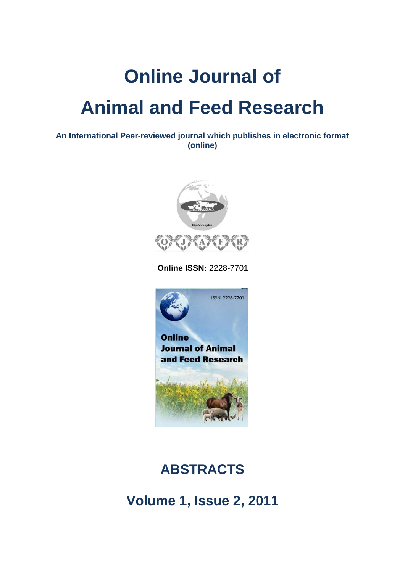## **Online Journal of Animal and Feed Research**

**An International Peer-reviewed journal which publishes in electronic format (online)**



 **Online ISSN:** 2228-7701



## **ABSTRACTS**

**Volume 1, Issue 2, 2011**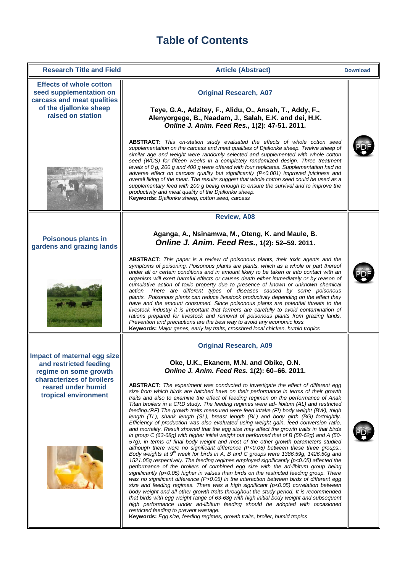## **Table of Contents**

| <b>Research Title and Field</b>                                                                                                                           | <b>Article (Abstract)</b>                                                                                                                                                                                                                                                                                                                                                                                                                                                                                                                                                                                                                                                                                                                                                                                                                                                                                                                                                                                                                                                                                                                                                                                                                                                                                                                                                                                                                                                                                                                                                                                                                                                                                                                                                                                                                                                                                                                                                                                                                                                                                               | <b>Download</b> |
|-----------------------------------------------------------------------------------------------------------------------------------------------------------|-------------------------------------------------------------------------------------------------------------------------------------------------------------------------------------------------------------------------------------------------------------------------------------------------------------------------------------------------------------------------------------------------------------------------------------------------------------------------------------------------------------------------------------------------------------------------------------------------------------------------------------------------------------------------------------------------------------------------------------------------------------------------------------------------------------------------------------------------------------------------------------------------------------------------------------------------------------------------------------------------------------------------------------------------------------------------------------------------------------------------------------------------------------------------------------------------------------------------------------------------------------------------------------------------------------------------------------------------------------------------------------------------------------------------------------------------------------------------------------------------------------------------------------------------------------------------------------------------------------------------------------------------------------------------------------------------------------------------------------------------------------------------------------------------------------------------------------------------------------------------------------------------------------------------------------------------------------------------------------------------------------------------------------------------------------------------------------------------------------------------|-----------------|
| <b>Effects of whole cotton</b><br>seed supplementation on<br>carcass and meat qualities<br>of the djallonke sheep<br>raised on station                    | <b>Original Research, A07</b><br>Teye, G.A., Adzitey, F., Alidu, O., Ansah, T., Addy, F.,<br>Alenyorgege, B., Naadam, J., Salah, E.K. and dei, H.K.<br>Online J. Anim. Feed Res., 1(2): 47-51. 2011.<br>ABSTRACT: This on-station study evaluated the effects of whole cotton seed<br>supplementation on the carcass and meat qualities of Djallonke sheep. Twelve sheep of<br>similar age and weight were randomly selected and supplemented with whole cotton<br>seed (WCS) for fifteen weeks in a completely randomized design. Three treatment<br>levels of 0 g, 200 g and 400 g were offered with four replicates. Supplementation had no<br>adverse effect on carcass quality but significantly (P<0.001) improved juiciness and<br>overall liking of the meat. The results suggest that whole cotton seed could be used as a<br>supplementary feed with 200 g being enough to ensure the survival and to improve the<br>productivity and meat quality of the Djallonke sheep.<br>Keywords: Djallonke sheep, cotton seed, carcass                                                                                                                                                                                                                                                                                                                                                                                                                                                                                                                                                                                                                                                                                                                                                                                                                                                                                                                                                                                                                                                                                 |                 |
|                                                                                                                                                           | <b>Review, A08</b>                                                                                                                                                                                                                                                                                                                                                                                                                                                                                                                                                                                                                                                                                                                                                                                                                                                                                                                                                                                                                                                                                                                                                                                                                                                                                                                                                                                                                                                                                                                                                                                                                                                                                                                                                                                                                                                                                                                                                                                                                                                                                                      |                 |
| <b>Poisonous plants in</b><br>gardens and grazing lands                                                                                                   | Aganga, A., Nsinamwa, M., Oteng, K. and Maule, B.<br>Online J. Anim. Feed Res., 1(2): 52-59. 2011.<br>ABSTRACT: This paper is a review of poisonous plants, their toxic agents and the<br>symptoms of poisoning. Poisonous plants are plants, which as a whole or part thereof<br>under all or certain conditions and in amount likely to be taken or into contact with an<br>organism will exert harmful effects or causes death either immediately or by reason of<br>cumulative action of toxic property due to presence of known or unknown chemical<br>action. There are different types of diseases caused by some poisonous<br>plants. Poisonous plants can reduce livestock productivity depending on the effect they<br>have and the amount consumed. Since poisonous plants are potential threats to the<br>livestock industry it is important that farmers are carefully to avoid contamination of<br>rations prepared for livestock and removal of poisonous plants from grazing lands.<br>Prevention and precautions are the best way to avoid any economic loss.<br>Keywords: Major genes, early lay traits, crossbred local chicken, humid tropics                                                                                                                                                                                                                                                                                                                                                                                                                                                                                                                                                                                                                                                                                                                                                                                                                                                                                                                                                       |                 |
| Impact of maternal egg size<br>and restricted feeding<br>regime on some growth<br>characterizes of broilers<br>reared under humid<br>tropical environment | <b>Original Research, A09</b><br>Oke, U.K., Ekanem, M.N. and Obike, O.N.<br>Online J. Anim. Feed Res. 1(2): 60-66. 2011.<br><b>ABSTRACT:</b> The experiment was conducted to investigate the effect of different egg<br>size from which birds are hatched have on their performance in terms of their growth<br>traits and also to examine the effect of feeding regimen on the performance of Anak<br>Titan broilers in a CRD study. The feeding regimes were ad- libitum (AL) and restricted<br>feeding. (RF) The growth traits measured were feed intake (FI) body weight (BW), thigh<br>length (TL), shank length (SL), breast length (BL) and body girth (BG) fortnightly.<br>Efficiency of production was also evaluated using weight gain, feed conversion ratio,<br>and mortality. Result showed that the egg size may affect the growth traits in that birds<br>in group C (63-68g) with higher initial weight out performed that of B (58-62g) and A (50-<br>57q), in terms of final body weight and most of the other growth parameters studied<br>although there were no significant difference (P<0.05) between these three groups<br>Body weights at 9 <sup>th</sup> week for birds in A, B and C groups were 1386.59g, 1426.50g and<br>1521.05g respectively. The feeding regimes employed significantly (p<0.05) affected the<br>performance of the broilers of combined egg size with the ad-libitum group being<br>significantly ( $p$ <0.05) higher in values than birds on the restricted feeding group. There<br>was no significant difference $(P>0.05)$ in the interaction between birds of different egg<br>size and feeding regimes. There was a high significant ( $p<0.05$ ) correlation between<br>body weight and all other growth traits throughout the study period. It is recommended<br>that birds with egg weight range of 63-68g with high initial body weight and subsequent<br>high performance under ad-libitum feeding should be adopted with occasioned<br>restricted feeding to prevent wastage.<br>Keywords: Egg size, feeding regimes, growth traits, broiler, humid tropics |                 |